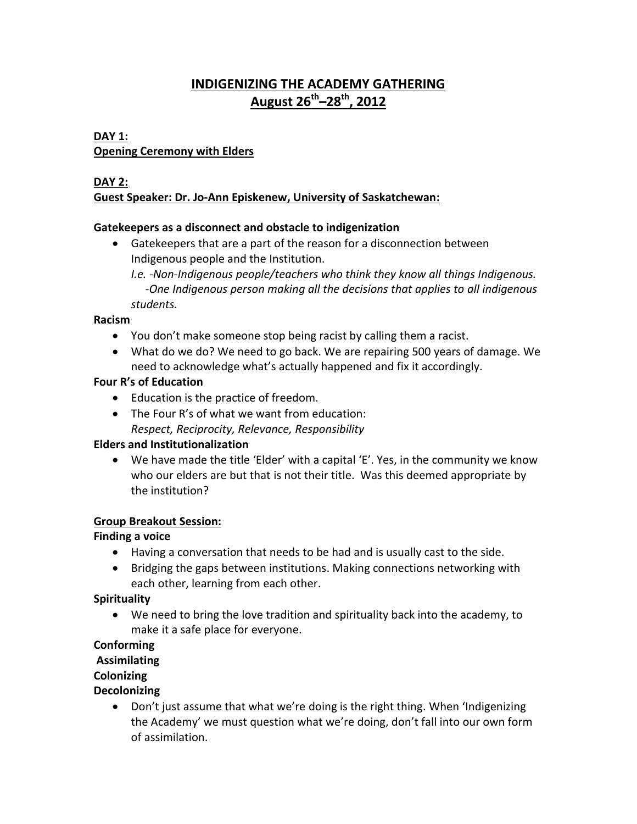# **INDIGENIZING THE ACADEMY GATHERING August 26 th –28th , 2012**

## **DAY 1: Opening Ceremony with Elders**

## **DAY 2: Guest Speaker: Dr. Jo-Ann Episkenew, University of Saskatchewan:**

### **Gatekeepers as a disconnect and obstacle to indigenization**

 Gatekeepers that are a part of the reason for a disconnection between Indigenous people and the Institution.

*I.e. -Non-Indigenous people/teachers who think they know all things Indigenous. -One Indigenous person making all the decisions that applies to all indigenous students.*

#### **Racism**

- You don't make someone stop being racist by calling them a racist.
- What do we do? We need to go back. We are repairing 500 years of damage. We need to acknowledge what's actually happened and fix it accordingly.

### **Four R's of Education**

- Education is the practice of freedom.
- The Four R's of what we want from education: *Respect, Reciprocity, Relevance, Responsibility*

### **Elders and Institutionalization**

 We have made the title 'Elder' with a capital 'E'. Yes, in the community we know who our elders are but that is not their title. Was this deemed appropriate by the institution?

### **Group Breakout Session:**

### **Finding a voice**

- Having a conversation that needs to be had and is usually cast to the side.
- Bridging the gaps between institutions. Making connections networking with each other, learning from each other.

## **Spirituality**

 We need to bring the love tradition and spirituality back into the academy, to make it a safe place for everyone.

## **Conforming**

## **Assimilating**

## **Colonizing**

## **Decolonizing**

• Don't just assume that what we're doing is the right thing. When 'Indigenizing the Academy' we must question what we're doing, don't fall into our own form of assimilation.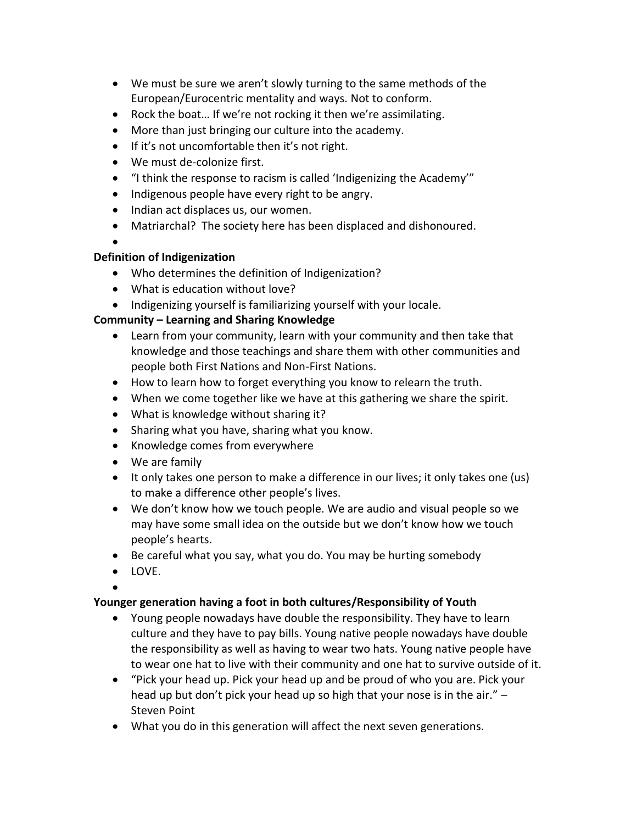- We must be sure we aren't slowly turning to the same methods of the European/Eurocentric mentality and ways. Not to conform.
- Rock the boat… If we're not rocking it then we're assimilating.
- More than just bringing our culture into the academy.
- If it's not uncomfortable then it's not right.
- We must de-colonize first.
- "I think the response to racism is called 'Indigenizing the Academy'"
- Indigenous people have every right to be angry.
- Indian act displaces us, our women.
- Matriarchal? The society here has been displaced and dishonoured.
- $\bullet$

#### **Definition of Indigenization**

- Who determines the definition of Indigenization?
- What is education without love?
- Indigenizing yourself is familiarizing yourself with your locale.

## **Community – Learning and Sharing Knowledge**

- Learn from your community, learn with your community and then take that knowledge and those teachings and share them with other communities and people both First Nations and Non-First Nations.
- How to learn how to forget everything you know to relearn the truth.
- When we come together like we have at this gathering we share the spirit.
- What is knowledge without sharing it?
- Sharing what you have, sharing what you know.
- Knowledge comes from everywhere
- We are family
- It only takes one person to make a difference in our lives; it only takes one (us) to make a difference other people's lives.
- We don't know how we touch people. We are audio and visual people so we may have some small idea on the outside but we don't know how we touch people's hearts.
- Be careful what you say, what you do. You may be hurting somebody
- LOVE.

 $\bullet$ 

### **Younger generation having a foot in both cultures/Responsibility of Youth**

- Young people nowadays have double the responsibility. They have to learn culture and they have to pay bills. Young native people nowadays have double the responsibility as well as having to wear two hats. Young native people have to wear one hat to live with their community and one hat to survive outside of it.
- "Pick your head up. Pick your head up and be proud of who you are. Pick your head up but don't pick your head up so high that your nose is in the air." – Steven Point
- What you do in this generation will affect the next seven generations.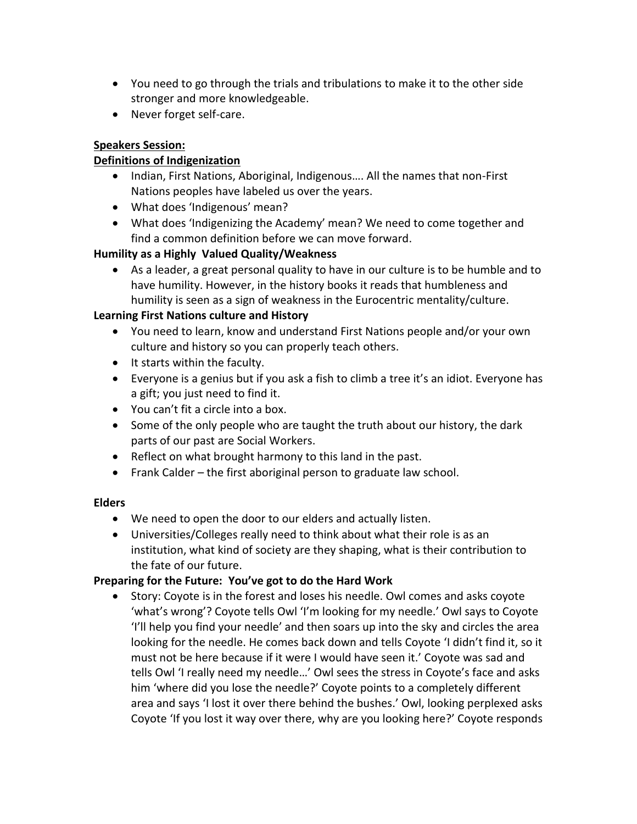- You need to go through the trials and tribulations to make it to the other side stronger and more knowledgeable.
- Never forget self-care.

## **Speakers Session:**

## **Definitions of Indigenization**

- Indian, First Nations, Aboriginal, Indigenous.... All the names that non-First Nations peoples have labeled us over the years.
- What does 'Indigenous' mean?
- What does 'Indigenizing the Academy' mean? We need to come together and find a common definition before we can move forward.

## **Humility as a Highly Valued Quality/Weakness**

 As a leader, a great personal quality to have in our culture is to be humble and to have humility. However, in the history books it reads that humbleness and humility is seen as a sign of weakness in the Eurocentric mentality/culture.

## **Learning First Nations culture and History**

- You need to learn, know and understand First Nations people and/or your own culture and history so you can properly teach others.
- It starts within the faculty.
- Everyone is a genius but if you ask a fish to climb a tree it's an idiot. Everyone has a gift; you just need to find it.
- You can't fit a circle into a box.
- Some of the only people who are taught the truth about our history, the dark parts of our past are Social Workers.
- Reflect on what brought harmony to this land in the past.
- Frank Calder the first aboriginal person to graduate law school.

### **Elders**

- We need to open the door to our elders and actually listen.
- Universities/Colleges really need to think about what their role is as an institution, what kind of society are they shaping, what is their contribution to the fate of our future.

### **Preparing for the Future: You've got to do the Hard Work**

 Story: Coyote is in the forest and loses his needle. Owl comes and asks coyote 'what's wrong'? Coyote tells Owl 'I'm looking for my needle.' Owl says to Coyote 'I'll help you find your needle' and then soars up into the sky and circles the area looking for the needle. He comes back down and tells Coyote 'I didn't find it, so it must not be here because if it were I would have seen it.' Coyote was sad and tells Owl 'I really need my needle…' Owl sees the stress in Coyote's face and asks him 'where did you lose the needle?' Coyote points to a completely different area and says 'I lost it over there behind the bushes.' Owl, looking perplexed asks Coyote 'If you lost it way over there, why are you looking here?' Coyote responds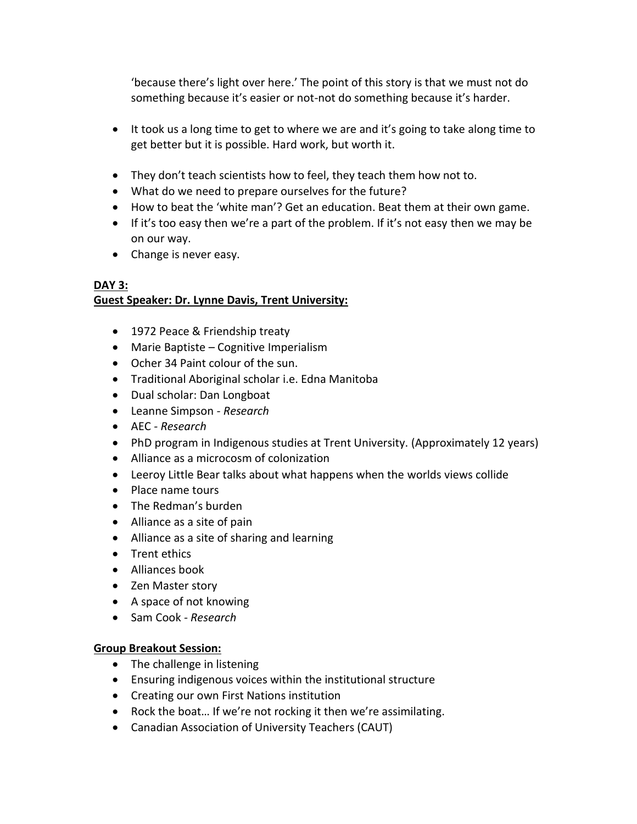'because there's light over here.' The point of this story is that we must not do something because it's easier or not-not do something because it's harder.

- It took us a long time to get to where we are and it's going to take along time to get better but it is possible. Hard work, but worth it.
- They don't teach scientists how to feel, they teach them how not to.
- What do we need to prepare ourselves for the future?
- How to beat the 'white man'? Get an education. Beat them at their own game.
- If it's too easy then we're a part of the problem. If it's not easy then we may be on our way.
- Change is never easy.

#### **DAY 3: Guest Speaker: Dr. Lynne Davis, Trent University:**

- 1972 Peace & Friendship treaty
- Marie Baptiste Cognitive Imperialism
- Ocher 34 Paint colour of the sun.
- Traditional Aboriginal scholar i.e. Edna Manitoba
- Dual scholar: Dan Longboat
- Leanne Simpson *- Research*
- AEC *- Research*
- PhD program in Indigenous studies at Trent University. (Approximately 12 years)
- Alliance as a microcosm of colonization
- Leeroy Little Bear talks about what happens when the worlds views collide
- Place name tours
- The Redman's burden
- Alliance as a site of pain
- Alliance as a site of sharing and learning
- Trent ethics
- Alliances book
- Zen Master story
- A space of not knowing
- Sam Cook *- Research*

### **Group Breakout Session:**

- The challenge in listening
- Ensuring indigenous voices within the institutional structure
- Creating our own First Nations institution
- Rock the boat… If we're not rocking it then we're assimilating.
- Canadian Association of University Teachers (CAUT)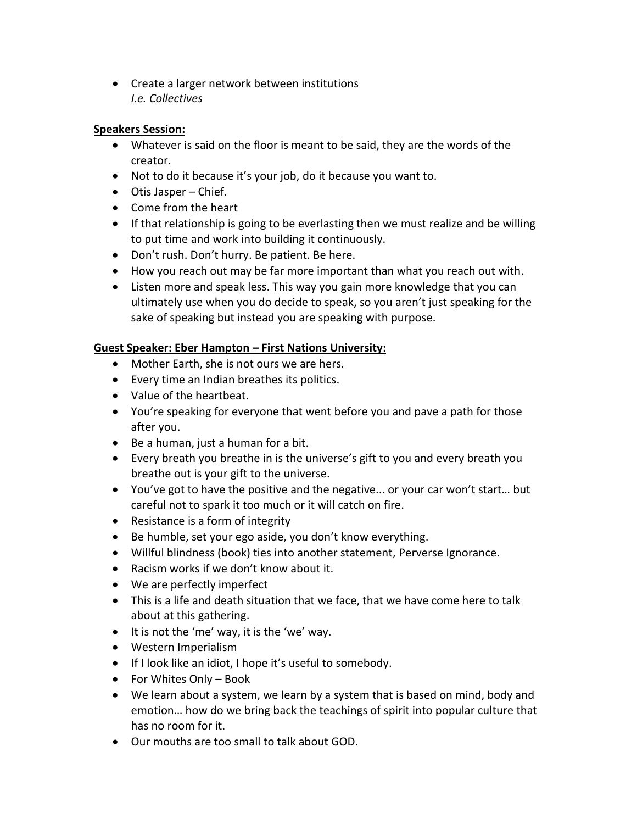• Create a larger network between institutions *I.e. Collectives*

#### **Speakers Session:**

- Whatever is said on the floor is meant to be said, they are the words of the creator.
- Not to do it because it's your job, do it because you want to.
- Otis Jasper Chief.
- Come from the heart
- If that relationship is going to be everlasting then we must realize and be willing to put time and work into building it continuously.
- Don't rush. Don't hurry. Be patient. Be here.
- How you reach out may be far more important than what you reach out with.
- Listen more and speak less. This way you gain more knowledge that you can ultimately use when you do decide to speak, so you aren't just speaking for the sake of speaking but instead you are speaking with purpose.

### **Guest Speaker: Eber Hampton – First Nations University:**

- Mother Earth, she is not ours we are hers.
- Every time an Indian breathes its politics.
- Value of the heartbeat.
- You're speaking for everyone that went before you and pave a path for those after you.
- $\bullet$  Be a human, just a human for a bit.
- Every breath you breathe in is the universe's gift to you and every breath you breathe out is your gift to the universe.
- You've got to have the positive and the negative... or your car won't start… but careful not to spark it too much or it will catch on fire.
- Resistance is a form of integrity
- Be humble, set your ego aside, you don't know everything.
- Willful blindness (book) ties into another statement, Perverse Ignorance.
- Racism works if we don't know about it.
- We are perfectly imperfect
- This is a life and death situation that we face, that we have come here to talk about at this gathering.
- It is not the 'me' way, it is the 'we' way.
- Western Imperialism
- If I look like an idiot, I hope it's useful to somebody.
- For Whites Only Book
- We learn about a system, we learn by a system that is based on mind, body and emotion… how do we bring back the teachings of spirit into popular culture that has no room for it.
- Our mouths are too small to talk about GOD.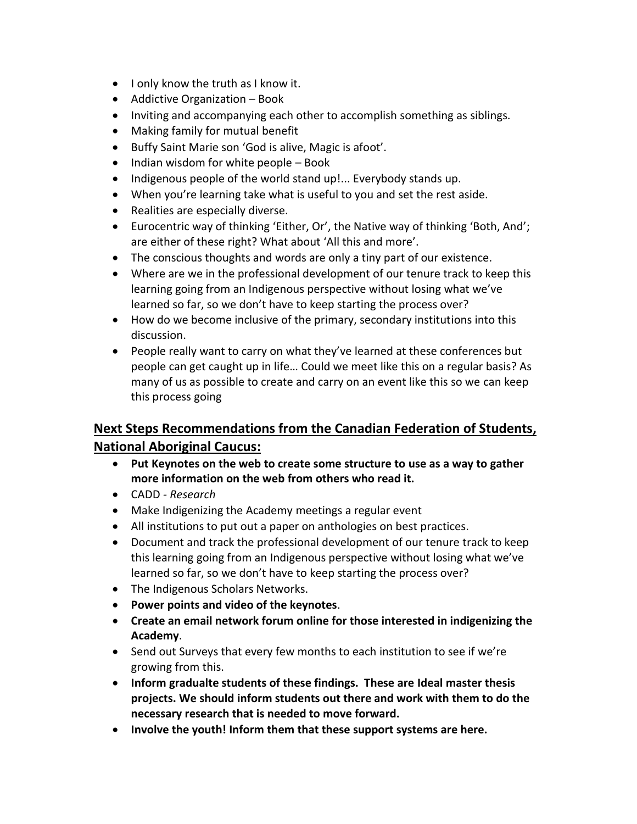- I only know the truth as I know it.
- Addictive Organization Book
- Inviting and accompanying each other to accomplish something as siblings.
- Making family for mutual benefit
- Buffy Saint Marie son 'God is alive, Magic is afoot'.
- $\bullet$  Indian wisdom for white people Book
- Indigenous people of the world stand up!... Everybody stands up.
- When you're learning take what is useful to you and set the rest aside.
- Realities are especially diverse.
- Eurocentric way of thinking 'Either, Or', the Native way of thinking 'Both, And'; are either of these right? What about 'All this and more'.
- The conscious thoughts and words are only a tiny part of our existence.
- Where are we in the professional development of our tenure track to keep this learning going from an Indigenous perspective without losing what we've learned so far, so we don't have to keep starting the process over?
- How do we become inclusive of the primary, secondary institutions into this discussion.
- People really want to carry on what they've learned at these conferences but people can get caught up in life… Could we meet like this on a regular basis? As many of us as possible to create and carry on an event like this so we can keep this process going

# **Next Steps Recommendations from the Canadian Federation of Students, National Aboriginal Caucus:**

- **Put Keynotes on the web to create some structure to use as a way to gather more information on the web from others who read it.**
- CADD *- Research*
- Make Indigenizing the Academy meetings a regular event
- All institutions to put out a paper on anthologies on best practices.
- Document and track the professional development of our tenure track to keep this learning going from an Indigenous perspective without losing what we've learned so far, so we don't have to keep starting the process over?
- The Indigenous Scholars Networks.
- **Power points and video of the keynotes**.
- **Create an email network forum online for those interested in indigenizing the Academy**.
- Send out Surveys that every few months to each institution to see if we're growing from this.
- **Inform gradualte students of these findings. These are Ideal master thesis projects. We should inform students out there and work with them to do the necessary research that is needed to move forward.**
- **Involve the youth! Inform them that these support systems are here.**